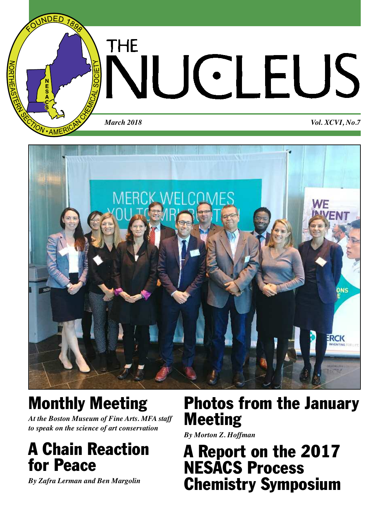

# THE **JCLEUS**

*March 2018 Vol. XCVI, No.7*



## **Monthly Meeting**

*At the Boston Museum of Fine Arts. MFA staff to speak on the science of art conservation*

## **A Chain Reaction for Peace**

*By Zafra Lerman and Ben Margolin*

## **Photos from the January Meeting**

*By Morton Z. Hoffman*

## **A Report on the 2017 NESACS Process Chemistry Symposium**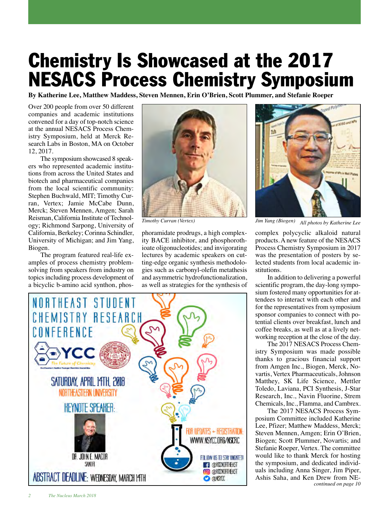## **Chemistry Is Showcased at the 2017 NESACS Process Chemistry Symposium**

**By Katherine Lee, Matthew Maddess, Steven Mennen, Erin O'Brien, Scott Plummer, and Stefanie Roeper**

Over 200 people from over 50 different companies and academic institutions convened for a day of top-notch science at the annual NESACS Process Chemistry Symposium, held at Merck Research Labs in Boston, MA on October 12, 2017.

The symposium showcased 8 speakers who represented academic institutions from across the United States and biotech and pharmaceutical companies from the local scientific community: Stephen Buchwald, MIT; Timothy Curran, Vertex; Jamie McCabe Dunn, Merck; Steven Mennen, Amgen; Sarah Reisman, California Institute of Technology; Richmond Sarpong, University of California, Berkeley; Corinna Schindler, University of Michigan; and Jim Yang, Biogen.

The program featured real-life examples of process chemistry problemsolving from speakers from industry on topics including process development of a bicyclic b-amino acid synthon, phos-



phoramidate prodrugs, a high complexity BACE inhibitor, and phosphorothioate oligonucleotides; and invigorating lectures by academic speakers on cutting-edge organic synthesis methodologies such as carbonyl-olefin metathesis and asymmetric hydrofunctionalization, as well as strategies for the synthesis of





*Timothy Curran (Vertex) Jim Yang (Biogen) All photos by Katherine Lee*

complex polycyclic alkaloid natural products. A new feature of the NESACS Process Chemistry Symposium in 2017 was the presentation of posters by selected students from local academic institutions.

In addition to delivering a powerful scientific program, the day-long symposium fostered many opportunities for attendees to interact with each other and for the representatives from symposium sponsor companies to connect with potential clients over breakfast, lunch and coffee breaks, as well as at a lively networking reception at the close of the day.

The 2017 NESACS Process Chemistry Symposium was made possible thanks to gracious financial support from Amgen Inc., Biogen, Merck, Novartis, Vertex Pharmaceuticals, Johnson Matthey, SK Life Science, Mettler Toledo, Laviana, PCI Synthesis, J-Star Research, Inc., Navin Fluorine, Strem Chemicals, Inc., Flamma, and Cambrex.

The 2017 NESACS Process Symposium Committee included Katherine Lee, Pfizer; Matthew Maddess, Merck; Steven Mennen, Amgen; Erin O'Brien, Biogen; Scott Plummer, Novartis; and Stefanie Roeper, Vertex. The committee would like to thank Merck for hosting the symposium, and dedicated individuals including Anna Singer, Jim Piper, Ashis Saha, and Ken Drew from NE*continued on page 10*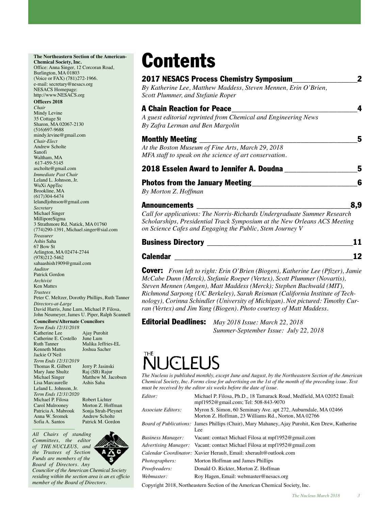## **The Northeastern Section of the American-**

**Chemical Society, Inc.** Office: Anna Singer, 12 Corcoran Road, Burlington, MA 01803 (Voice or FAX) (781)272-1966. e-mail: secretary@nesacs.org NESACS Homepage: http://www.NESACS.org

#### **Officers 2018**

*Chair* Mindy Levine 35 Cottage St Sharon, MA 02067-2130 (516)697-9688 mindy.levine@gmail.com *Chair-Elect* Andrew Scholte Sanofi Waltham, MA 617-459-5145 ascholte@gmail.com *Immediate Past Chair* Leland L. Johnson, Jr. WuXi AppTec Brookline, MA (617)304-6474 lelandljohnson@gmail.com *Secretary* Michael Singer MilliporeSigma 3 Strathmore Rd, Natick, MA 01760 (774)290-1391, Michael.singer@sial.com *Treasurer* Ashis Saha 67 Bow St Arlington, MA 02474-2744 (978)212-5462 sahaashish1909@gmail.com *Auditor* Patrick Gordon *Archivist* Ken Mattes *Trustees* Peter C. Meltzer, Dorothy Phillips, Ruth Tanner *Directors-at-Large* David Harris, June Lum, Michael P. Filosa, John Neumeyer, James U. Piper, Ralph Scannell

#### **Councilors/Alternate Councilors**

Joshua Sacher

Matthew M. Jacobsen<br>Ashis Saha

Morton Z. Hoffman<br>Sonja Strah-Pleynet

Patrick M. Gordon

*Term Ends 12/31/2018* Katherine Lee Ajay Purohit<br>Catherine E. Costello June Lum Catherine E. Costello<br>Ruth Tanner Ruth Tanner Malika Jeffries-EL<br>Kenneth Mattes Ioshua Sacher Jackie O'Neil *Term Ends 12/31/2019* Thomas R. Gilbert Jerry P. Jasinski<br>Mary Jane Shultz Raj (SB) Rajur Mary Jane Shultz<br>Michael Singer Lisa Marcaurelle Leland L. Johnson, Jr. *Term Ends 12/31/2020* Michael P. Filosa Robert Lichter<br>Carol Mulroonev Morton Z. Hoff Patricia A. Mabrouk Sonja Strah-Pley<br>Anna W. Sromek Andrew Scholte Anna W. Sromek<br>Sofia A. Santos

*All Chairs of standing Committees, the editor of THE NUCLEUS, and the Trustees of Section Funds are members of the Board of Directors. Any*

*Coun cilor of the American Chemical Society residing within the section area is an ex officio member of the Board of Directors.*

## **Contents**

| <b>2017 NESACS Process Chemistry Symposium</b><br>By Katherine Lee, Matthew Maddess, Steven Mennen, Erin O'Brien,<br>Scott Plummer, and Stefanie Roper                                                                                    |
|-------------------------------------------------------------------------------------------------------------------------------------------------------------------------------------------------------------------------------------------|
| <b>A Chain Reaction for Peace</b><br>A guest editorial reprinted from Chemical and Engineering News<br>By Zafra Lerman and Ben Margolin                                                                                                   |
| <b>Monthly Meeting</b><br>At the Boston Museum of Fine Arts, March 29, 2018<br>MFA staff to speak on the science of art conservation.                                                                                                     |
| 2018 Esselen Award to Jennifer A. Doudna                                                                                                                                                                                                  |
| <b>Photos from the January Meeting</b><br>By Morton Z. Hoffman                                                                                                                                                                            |
| <b>Announcements</b><br>Call for applications: The Norris-Richards Undergraduate Summer Research<br>Scholarships, Presidential Track Symposium at the New Orleans ACS Meeting<br>on Science Cafes and Engaging the Public, Stem Journey V |
| <b>Business Directory</b>                                                                                                                                                                                                                 |

| <b>DUSILICSS DILCULUI Y</b> |  |
|-----------------------------|--|
| Calendar                    |  |

**Cover:** *From left to right: Erin O'Brien (Biogen), Katherine Lee (Pfizer), Jamie McCabe Dunn (Merck), Stefanie Roeper (Vertex), Scott Plummer (Novartis), Steven Mennen (Amgen), Matt Maddess (Merck); Stephen Buchwald (MIT), Richmond Sarpong (UC Berkeley), Sarah Reisman (California Institute of Technology), Corinna Schindler (University of Michigan). Not pictured: Timothy Curran (Vertex) and Jim Yang (Biogen). Photo courtesy of Matt Maddess.*

**Editorial Deadlines:** *May 2018 Issue: March 22, 2018 Summer-September Issue: July 22, 2018*

## GELJS

*The Nucleus is published monthly, except June and August, by the Northeastern Section of the American Chemical Society, Inc. Forms close for advertising on the 1st of the month of the preceding issue. Text must be received by the editor six weeks before the date of issue.*

| Editor:            | Michael P. Filosa, Ph.D., 18 Tamarack Road, Medfield, MA 02052 Email:<br>mpf1952@gmail.com; Tel: 508-843-9070          |
|--------------------|------------------------------------------------------------------------------------------------------------------------|
| Associate Editors: | Myron S. Simon, 60 Seminary Ave. apt 272, Auburndale, MA 02466<br>Morton Z. Hoffman, 23 Williams Rd., Norton, MA 02766 |
|                    | <i>Board of Publications:</i> James Phillips (Chair), Mary Mahaney, Ajay Purohit, Ken Drew, Katherine<br>Lee           |
| Business Manager:  | Vacant: contact Michael Filosa at mpf1952@gmail.com                                                                    |
|                    | <i>Advertising Manager:</i> Vacant: contact Michael Filosa at mpf1952@gmail.com                                        |
|                    | Calendar Coordinator: Xavier Herault, Email: xherault@outlook.com                                                      |
| Photographers:     | Morton Hoffman and James Phillips                                                                                      |
| Proofreaders:      | Donald O. Rickter, Morton Z. Hoffman                                                                                   |
| Webmaster:         | Roy Hagen, Email: webmaster@nesacs.org                                                                                 |
|                    |                                                                                                                        |

Copyright 2018, Northeastern Section of the American Chemical Society, Inc.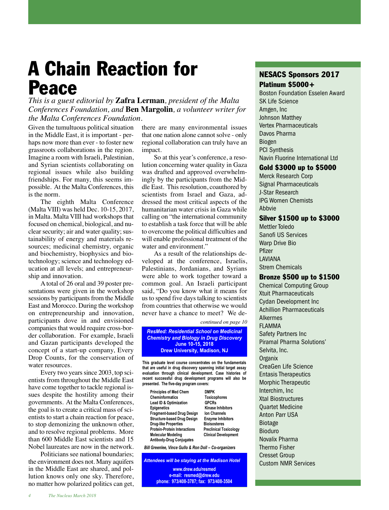## **A Chain Reaction for Peace**

*This is a guest editorial by* **Zafra Lerman***, president of the Malta Conferences Foundation, and* **Ben Margolin***, a volunteer writer for the Malta Conferences Foundation.*

Given the tumultuous political situation in the Middle East, it is important - perhaps now more than ever - to foster new grassroots collaborations in the region. Imagine a room with Israeli, Palestinian, and Syrian scientists collaborating on regional issues while also building friendships. For many, this seems impossible. At the Malta Conferences, this is the norm.

The eighth Malta Conference (Malta VIII) was held Dec. 10-15, 2017, in Malta. Malta VIII had workshops that focused on chemical, biological, and nuclear security; air and water quality; sustainability of energy and materials resources; medicinal chemistry, organic and biochemistry, biophysics and biotechnology; science and technology education at all levels; and entrepreneurship and innovation.

A total of 26 oral and 39 poster presentations were given in the workshop sessions by participants from the Middle East and Morocco. During the workshop on entrepreneurship and innovation, participants dove in and envisioned companies that would require cross-border collaboration. For example, Israeli and Gazan participants developed the concept of a start-up company, Every Drop Counts, for the conservation of water resources.

Every two years since 2003, top scientists from throughout the Middle East have come together to tackle regional issues despite the hostility among their governments. At the Malta Conferences, the goal is to create a critical mass of scientists to start a chain reaction for peace, to stop demonizing the unknown other, and to resolve regional problems. More than 600 Middle East scientists and 15 Nobel laureates are now in the network.

Politicians see national boundaries; the environment does not. Many aquifers in the Middle East are shared, and pollution knows only one sky. Therefore, no matter how polarized politics can get, there are many environmental issues that one nation alone cannot solve - only regional collaboration can truly have an impact.

So at this year's conference, a resolution concerning water quality in Gaza was drafted and approved overwhelmingly by the participants from the Middle East. This resolution, coauthored by scientists from Israel and Gaza, addressed the most critical aspects of the humanitarian water crisis in Gaza while calling on "the international community to establish a task force that will be able to overcome the political difficulties and will enable professional treatment of the water and environment."

As a result of the relationships developed at the conference, Israelis, Palestinians, Jordanians, and Syrians were able to work together toward a common goal. An Israeli participant said, "Do you know what it means for us to spend five days talking to scientists from countries that otherwise we would never have a chance to meet? We de-

*continued on page 10*

**R** *[Chemistry and Biology in Drug Discovery](http://www.drew.edu/resmed) ResMed: Residential School on Medicinal*  **June 10-15, 2018 Drew University, Madison, NJ**

**This graduate level course concentrates on the fundamentals that are useful in drug discovery spanning initial target assay evaluation through clinical development. Case histories of recent successful drug development programs will also be presented. The five-day program covers:** 

| <b>Principles of Med Chem</b>       | <b>DMPK</b>                   |
|-------------------------------------|-------------------------------|
| <b>Cheminformatics</b>              | <b>Toxicophores</b>           |
| <b>Lead ID &amp; Optimization</b>   | <b>GPCRs</b>                  |
| <b>Epigenetics</b>                  | <b>Kinase Inhibitors</b>      |
| <b>Fragment-based Drug Design</b>   | <b>Ion Channels</b>           |
| <b>Structure-based Drug Design</b>  | <b>Enzyme Inhibitors</b>      |
| <b>Drug-like Properties</b>         | <b>Bioisosteres</b>           |
| <b>Protein-Protein Interactions</b> | <b>Preclinical Toxicology</b> |
| <b>Molecular Modeling</b>           | <b>Clinical Development</b>   |
| <b>Antibody-Drug Conjugates</b>     |                               |

 *Bill Greenlee, Vince Gullo & Ron Doll – Co-organizers*

*Attendees will be staying at the Madison Hotel* **www.drew.edu/resmed** 

**e-mail: resmed@drew.edu phone: 973/408-3787; fax: 973/408-3504**

## **NESACS Sponsors 2017 Platinum \$5000+**

Boston Foundation Esselen Award SK Life Science Amgen, Inc Johnson Matthey Vertex Pharmaceuticals Davos Pharma Biogen PCI Synthesis Navin Fluorine International Ltd

#### **Gold \$3000 up to \$5000**

Merck Research Corp Signal Pharmaceuticals J-Star Research IPG Women Chemists Abbvie

## **Silver \$1500 up to \$3000**

Mettler Toledo Sanofi US Services Warp Drive Bio Pfizer LAVIANA Strem Chemicals

#### **Bronze \$500 up to \$1500**

Chemical Computing Group Xtuit Pharmaceuticals Cydan Development Inc Achillion Pharmaceuticals Alkermes FLAMMA Safety Partners Inc Piramal Pharma Solutions' Selvita, Inc. **Organix** CreaGen Life Science Entasis Therapeutics Morphic Therapeutic Interchim, Inc Xtal Biostructures Quartet Medicine Anton Parr USA Biotage Bioduro Novalix Pharma Thermo Fisher Cresset Group Custom NMR Services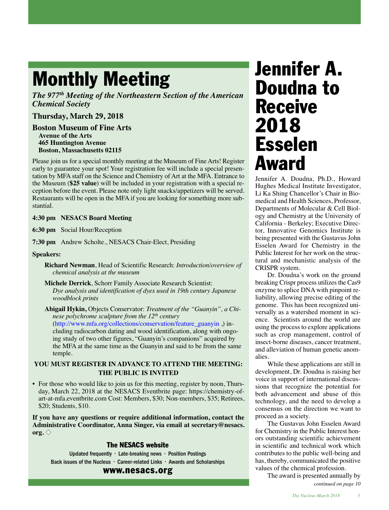## **Monthly Meeting**

*The 977th Meeting of the Northeastern Section of the American Chemical Society*

## **Thursday, March 29, 2018**

**Boston Museum of Fine Arts Avenue of the Arts 465 Huntington Avenue Boston, Massachusetts 02115**

Please join us for a special monthly meeting at the Museum of Fine Arts! Register early to guarantee your spot! Your registration fee will include a special presentation by MFA staff on the Science and Chemistry of Art at the MFA. Entrance to the Museum (**\$25 value**) will be included in your registration with a special reception before the event. Please note only light snacks/appetizers will be served. Restaurants will be open in the MFA if you are looking for something more substantial.

### **4:30 pm NESACS Board Meeting**

**6:30 pm** Social Hour/Reception

**7:30 pm** Andrew Scholte., NESACS Chair-Elect, Presiding

**Speakers:**

- **Richard Newman**, Head of Scientific Research: *Introduction/overview of chemical analysis at the museum*
- **Michele Derrick**, Schorr Family Associate Research Scientist: *Dye analysis and identification of dyes used in 19th century Japanese woodblock prints*

**Abigail Hykin,** Objects Conservator: *Treatment of the "Guanyin", a Chinese polychrome sculpture from the 12th century* [\(http://www.mfa.org/collections/conservation/feature\\_guanyin](http://www.mfa.org/collections/conservation/feature_guanyin) ,) including radiocarbon dating and wood identification, along with ongoing study of two other figures, "Guanyin's companions" acquired by the MFA at the same time as the Guanyin and said to be from the same temple.

### **YOU MUST REGISTER IN ADVANCE TO ATTEND THE MEETING: THE PUBLIC IS INVITED**

• For those who would like to join us for this meeting, re[gister by noon, Thurs](https://chemistry-of-art-at-mfa.eventbrite.com)[day, March 22, 2018 at th](https://chemistry-of-art-at-mfa.eventbrite.com)e NESACS Eventbrite page: https://chemistry-ofart-at-mfa.eventbrite.com Cost: Members, \$30; Non-members, \$35; Retirees, \$20; Students, \$10.

**If you have any questions or require additional infor[mation, contact the](mailto:secretary@nesacs.org) [Adm](mailto:secretary@nesacs.org)inistrative Coordinator, Anna Singer, via email at secretary@nesacs. org.**  $\diamondsuit$ 

### **The NESACS website**

Updated frequently • Late-breaking news • Position Postings [Back issues of the Nucleus • Career-related Links • Awards and Scholarships](http://NESACS.org)

#### **www.nesacs.org**

## **Jennifer A. Doudna to Receive 2018 Esselen Award**

Jennifer A. Doudna, Ph.D., Howard Hughes Medical Institute Investigator, Li Ka Shing Chancellor's Chair in Biomedical and Health Sciences, Professor, Departments of Molecular & Cell Biology and Chemistry at the University of California - Berkeley; Executive Director, Innovative Genomics Institute is being presented with the Gustavus John Esselen Award for Chemistry in the Public Interest for her work on the structural and mechanistic analysis of the CRISPR system.

Dr. Doudna's work on the ground breaking Crispr process utilizes the Cas9 enzyme to splice DNA with pinpoint reliability, allowing precise editing of the genome. This has been recognized universally as a watershed moment in science. Scientists around the world are using the process to explore applications such as crop management, control of insect-borne diseases, cancer treatment, and alleviation of human genetic anomalies.

While these applications are still in development, Dr. Doudna is raising her voice in support of international discussions that recognize the potential for both advancement and abuse of this technology, and the need to develop a consensus on the direction we want to proceed as a society.

The Gustavus John Esselen Award for Chemistry in the Public Interest honors outstanding scientific achievement in scientific and technical work which contributes to the public well-being and has, thereby, communicated the positive values of the chemical profession.

The award is presented annually by

*continued on page 10*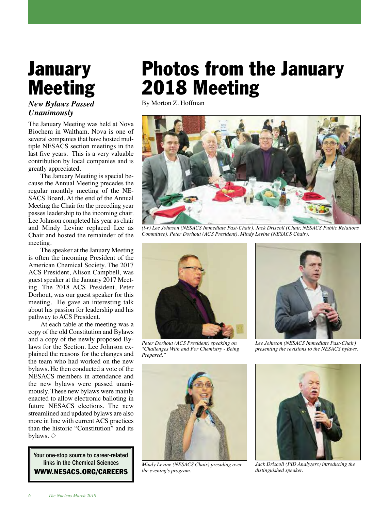## **January Meeting**

## *New Bylaws Passed Unanimously*

The January Meeting was held at Nova Biochem in Waltham. Nova is one of several companies that have hosted multiple NESACS section meetings in the last five years. This is a very valuable contribution by local companies and is greatly appreciated.

The January Meeting is special because the Annual Meeting precedes the regular monthly meeting of the NE-SACS Board. At the end of the Annual Meeting the Chair for the preceding year passes leadership to the incoming chair. Lee Johnson completed his year as chair and Mindy Levine replaced Lee as Chair and hosted the remainder of the meeting.

The speaker at the January Meeting is often the incoming President of the American Chemical Society. The 2017 ACS President, Alison Campbell, was guest speaker at the January 2017 Meeting. The 2018 ACS President, Peter Dorhout, was our guest speaker for this meeting. He gave an interesting talk about his passion for leadership and his pathway to ACS President.

At each table at the meeting was a copy of the old Constitution and Bylaws and a copy of the newly proposed Bylaws for the Section. Lee Johnson explained the reasons for the changes and the team who had worked on the new bylaws. He then conducted a vote of the NESACS members in attendance and the new bylaws were passed unanimously. These new bylaws were mainly enacted to allow electronic balloting in future NESACS elections. The new streamlined and updated bylaws are also more in line with current ACS practices than the historic "Constitution" and its bylaws.  $\diamondsuit$ 

Your one-stop source to career-related links in the Chemical Sciences **[WWW.NESACS.ORG/CAREERS](http://www.nesacs.org/careers.html)**

## **Photos from the January 2018 Meeting**

By Morton Z. Hoffman



*(l-r) Lee Johnson (NESACS Immediate Past-Chair), Jack Driscoll (Chair, NESACS Public Relations Committee), Peter Dorhout (ACS President), Mindy Levine (NESACS Chair).*



*Peter Dorhout (ACS President) speaking on "Challenges With and For Chemistry - Being Prepared."*



*Lee Johnson (NESACS Immediate Past-Chair) presenting the revisions to the NESACS bylaws.*



*Mindy Levine (NESACS Chair) presiding over the evening's program.*



*Jack Driscoll (PID Analyzers) introducing the distinguished speaker.*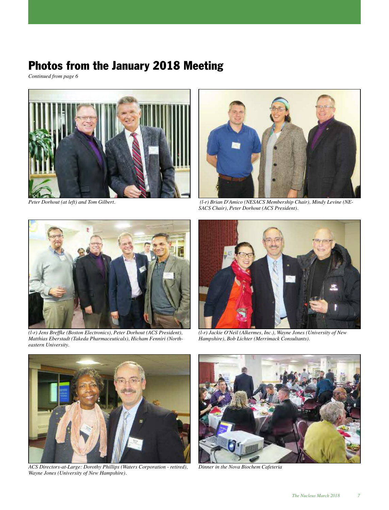## **Photos from the January 2018 Meeting**

*Continued from page 6*





*Peter Dorhout (at left) and Tom Gilbert. (l-r) Brian D'Amico (NESACS Membership Chair), Mindy Levine (NE-SACS Chair), Peter Dorhout (ACS President).*



*(l-r) Jens Breffke (Boston Electronics), Peter Dorhout (ACS President), Matthias Eberstadt (Takeda Pharmaceuticals), Hicham Fenniri (Northeastern University.*



*(l-r) Jackie O'Neil (Alkermes, Inc.), Wayne Jones (University of New Hampshire), Bob Lichter (Merrimack Consultants).*



*ACS Directors-at-Large: Dorothy Phillips (Waters Corporation - retired), Wayne Jones (University of New Hampshire).*



*Dinner in the Nova Biochem Cafeteria*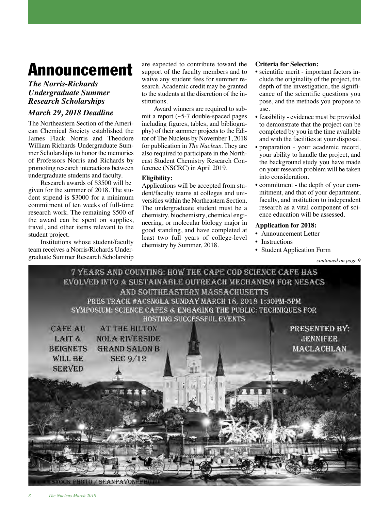## **Announcement**

## *The Norris-Richards Undergraduate Summer Research Scholarships*

## *March 29, 2018 Deadline*

The Northeastern Section of the American Chemical Society established the James Flack Norris and Theodore William Richards Undergraduate Summer Scholarships to honor the memories of Professors Norris and Richards by promoting research interactions between undergraduate students and faculty.

Research awards of \$3500 will be given for the summer of 2018. The student stipend is \$3000 for a minimum commitment of ten weeks of full-time research work. The remaining \$500 of the award can be spent on supplies, travel, and other items relevant to the student project.

Institutions whose student/faculty team receives a Norris/Richards Undergraduate Summer Research Scholarship are expected to contribute toward the support of the faculty members and to waive any student fees for summer research. Academic credit may be granted to the students at the discretion of the institutions.

Award winners are required to submit a report (~5-7 double-spaced pages including figures, tables, and bibliography) of their summer projects to the Editor of The Nucleus by November 1, 2018 for publication in *The Nucleus*. They are also required to participate in the Northeast Student Chemistry Research Conference (NSCRC) in April 2019.

### **Eligibility:**

Applications will be accepted from student/faculty teams at colleges and universities within the Northeastern Section. The undergraduate student must be a chemistry, biochemistry, chemical engineering, or molecular biology major in good standing, and have completed at least two full years of college-level chemistry by Summer, 2018.

### **Criteria for Selection:**

- scientific merit important factors include the originality of the project, the depth of the investigation, the significance of the scientific questions you pose, and the methods you propose to use.
- feasibility evidence must be provided to demonstrate that the project can be completed by you in the time available and with the facilities at your disposal.
- preparation your academic record, your ability to handle the project, and the background study you have made on your research problem will be taken into consideration.
- commitment the depth of your commitment, and that of your department, faculty, and institution to independent research as a vital component of science education will be assessed.

### **Application for 2018:**

- Announcement Letter
- Instructions
- Student Application Form

*continued on page 9*

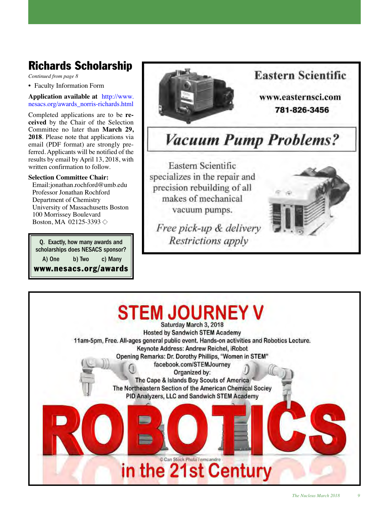## **Richards Scholarship**

*Continued from page 8*

• Faculty Information Form

**Application available at** [http://www.](http://www.nesacs.org/awards_norris-richards.html) [nesacs.org/awards\\_norris-richards.html](http://www.nesacs.org/awards_norris-richards.html)

Completed applications are to be **received** by the Chair of the Selection Committee no later than **March 29, 2018**. Please note that applications via email (PDF format) are strongly preferred. Applicants will be notified of the results by email by April 13, 2018, with written confirmation to follow.

### **Selection Committee Chair:**

Email:jonathan.rochford@umb.edu Professor Jonathan Rochford Department of Chemistry University of Massachusetts Boston 100 Morrissey Boulevard Boston, MA 02125-3393  $\diamond$ 

Q. Exactly, how many awards and scholarships does NESACS sponsor? A) One b) Two c) Many **[www.nesacs.org/awards](http://www.nesacs.org/awards_acs-regional.html)**



## **Eastern Scientific**

www.easternsci.com 781-826-3456

## **Vacuum Pump Problems?**

Eastern Scientific specializes in the repair and precision rebuilding of all makes of mechanical vacuum pumps.

Free pick-up & delivery Restrictions apply



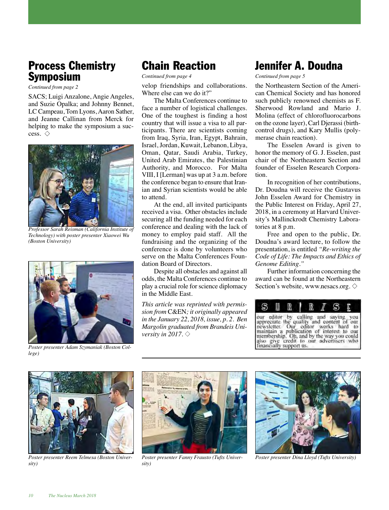## **Process Chemistry Symposium**

*Continued from page 2*

SACS; Luigi Anzalone, Angie Angeles, and Suzie Opalka; and Johnny Bennet, LC Campeau, Tom Lyons, Aaron Sather, and Jeanne Callinan from Merck for helping to make the symposium a success.  $\diamondsuit$ 



*Professor Sarah Reisman (California Institute of Technology) with poster presenter Xiaowei Wu (Boston University)*



*Poster presenter Adam Szymaniak (Boston College)*

## **Chain Reaction**

*Continued from page 4*

velop friendships and collaborations. Where else can we do it?"

The Malta Conferences continue to face a number of logistical challenges. One of the toughest is finding a host country that will issue a visa to all participants. There are scientists coming from Iraq, Syria, Iran, Egypt, Bahrain, Israel, Jordan, Kuwait, Lebanon, Libya, Oman, Qatar, Saudi Arabia, Turkey, United Arab Emirates, the Palestinian Authority, and Morocco. For Malta VIII, I [Lerman] was up at 3 a.m. before the conference began to ensure that Iranian and Syrian scientists would be able to attend.

At the end, all invited participants received a visa. Other obstacles include securing all the funding needed for each conference and dealing with the lack of money to employ paid staff. All the fundraising and the organizing of the conference is done by volunteers who serve on the Malta Conferences Foundation Board of Directors.

Despite all obstacles and against all odds, the Malta Conferences continue to play a crucial role for science diplomacy in the Middle East.

*This article was reprinted with permission from* C&EN*; it originally appeared in the January 22, 2018, issue, p. 2. Ben Margolin graduated from Brandeis University in 2017.*  $\diamondsuit$ 

## **Jennifer A. Doudna**

*Continued from page 5*

the Northeastern Section of the American Chemical Society and has honored such publicly renowned chemists as F. Sherwood Rowland and Mario J. Molina (effect of chlorofluorocarbons on the ozone layer), Carl Djerassi (birthcontrol drugs), and Kary Mullis (polymerase chain reaction).

The Esselen Award is given to honor the memory of G. J. Esselen, past chair of the Northeastern Section and founder of Esselen Research Corporation.

In recognition of her contributions, Dr. Doudna will receive the Gustavus John Esselen Award for Chemistry in the Public Interest on Friday, April 27, 2018, in a ceremony at Harvard University's Mallinckrodt Chemistry Laboratories at 8 p.m.

Free and open to the public, Dr. Doudna's award lecture, to follow the presentation, is entitled *"Re-writing the Code of Life: The Impacts and Ethics of Genome Editing."*

Further information concerning the award can be found at the Northeastern Section's website, www.nesacs.org.  $\diamond$ 





*Poster presenter Reem Telmesa (Boston University)*



*Poster presenter Fanny Frausto (Tufts University)*



*Poster presenter Dina Lloyd (Tufts University)*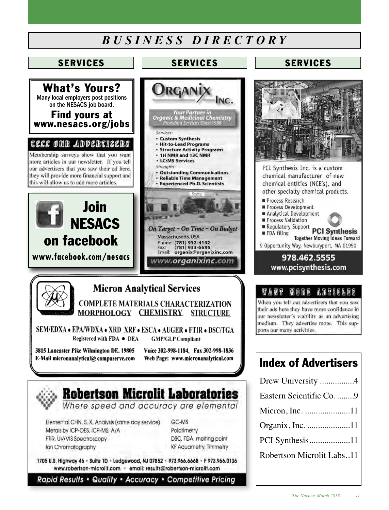## *B U S I N E S S D I R E C T O R Y*



## **SERVICES SERVICES**